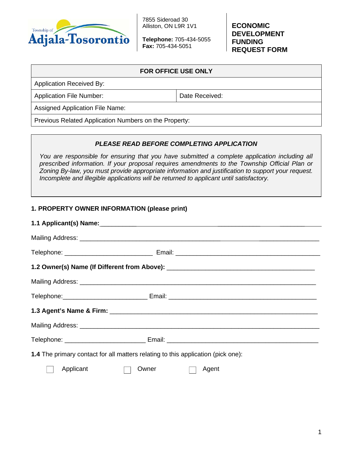

**Telephone:** 705-434-5055 **Fax:** 705-434-5051

**ECONOMIC DEVELOPMENT FUNDING REQUEST FORM**

| <b>FOR OFFICE USE ONLY</b>                            |                |  |
|-------------------------------------------------------|----------------|--|
| <b>Application Received By:</b>                       |                |  |
| <b>Application File Number:</b>                       | Date Received: |  |
| <b>Assigned Application File Name:</b>                |                |  |
| Previous Related Application Numbers on the Property: |                |  |

## *PLEASE READ BEFORE COMPLETING APPLICATION*

*You are responsible for ensuring that you have submitted a complete application including all prescribed information. If your proposal requires amendments to the Township Official Plan or Zoning By-law, you must provide appropriate information and justification to support your request. Incomplete and illegible applications will be returned to applicant until satisfactory.*

## **1. PROPERTY OWNER INFORMATION (please print)**

| 1.2 Owner(s) Name (If Different from Above): ___________________________________ |                |  |
|----------------------------------------------------------------------------------|----------------|--|
|                                                                                  |                |  |
|                                                                                  |                |  |
|                                                                                  |                |  |
|                                                                                  |                |  |
|                                                                                  |                |  |
| 1.4 The primary contact for all matters relating to this application (pick one): |                |  |
| Applicant                                                                        | Agent<br>Owner |  |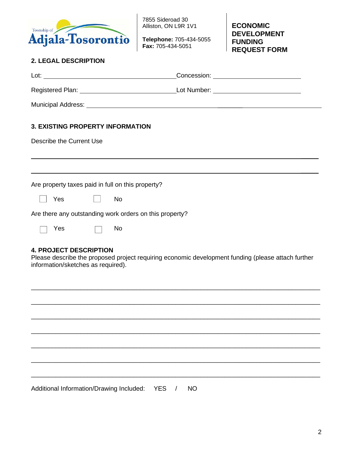

**Telephone:** 705-434-5055 **Fax:** 705-434-5051

**ECONOMIC DEVELOPMENT FUNDING REQUEST FORM**

# **2. LEGAL DESCRIPTION**

| <b>3. EXISTING PROPERTY INFORMATION</b>                                                                                                                                   |  |  |
|---------------------------------------------------------------------------------------------------------------------------------------------------------------------------|--|--|
| Describe the Current Use                                                                                                                                                  |  |  |
|                                                                                                                                                                           |  |  |
|                                                                                                                                                                           |  |  |
| Are property taxes paid in full on this property?                                                                                                                         |  |  |
| Yes<br><b>No</b>                                                                                                                                                          |  |  |
| Are there any outstanding work orders on this property?                                                                                                                   |  |  |
| <b>No</b><br>Yes                                                                                                                                                          |  |  |
| <b>4. PROJECT DESCRIPTION</b><br>Please describe the proposed project requiring economic development funding (please attach further<br>information/sketches as required). |  |  |

\_\_\_\_\_\_\_\_\_\_\_\_\_\_\_\_\_\_\_\_\_\_\_\_\_\_\_\_\_\_\_\_\_\_\_\_\_\_\_\_\_\_\_\_\_\_\_\_\_\_\_\_\_\_\_\_\_\_\_\_\_\_\_\_\_\_\_\_\_\_\_\_\_\_\_\_\_\_\_\_\_\_

\_\_\_\_\_\_\_\_\_\_\_\_\_\_\_\_\_\_\_\_\_\_\_\_\_\_\_\_\_\_\_\_\_\_\_\_\_\_\_\_\_\_\_\_\_\_\_\_\_\_\_\_\_\_\_\_\_\_\_\_\_\_\_\_\_\_\_\_\_\_\_\_\_\_\_\_\_\_\_\_\_\_

\_\_\_\_\_\_\_\_\_\_\_\_\_\_\_\_\_\_\_\_\_\_\_\_\_\_\_\_\_\_\_\_\_\_\_\_\_\_\_\_\_\_\_\_\_\_\_\_\_\_\_\_\_\_\_\_\_\_\_\_\_\_\_\_\_\_\_\_\_\_\_\_\_\_\_\_\_\_\_\_\_\_

\_\_\_\_\_\_\_\_\_\_\_\_\_\_\_\_\_\_\_\_\_\_\_\_\_\_\_\_\_\_\_\_\_\_\_\_\_\_\_\_\_\_\_\_\_\_\_\_\_\_\_\_\_\_\_\_\_\_\_\_\_\_\_\_\_\_\_\_\_\_\_\_\_\_\_\_\_\_\_\_\_\_

\_\_\_\_\_\_\_\_\_\_\_\_\_\_\_\_\_\_\_\_\_\_\_\_\_\_\_\_\_\_\_\_\_\_\_\_\_\_\_\_\_\_\_\_\_\_\_\_\_\_\_\_\_\_\_\_\_\_\_\_\_\_\_\_\_\_\_\_\_\_\_\_\_\_\_\_\_\_\_\_\_\_

\_\_\_\_\_\_\_\_\_\_\_\_\_\_\_\_\_\_\_\_\_\_\_\_\_\_\_\_\_\_\_\_\_\_\_\_\_\_\_\_\_\_\_\_\_\_\_\_\_\_\_\_\_\_\_\_\_\_\_\_\_\_\_\_\_\_\_\_\_\_\_\_\_\_\_\_\_\_\_\_\_\_

Additional Information/Drawing Included:YES / NO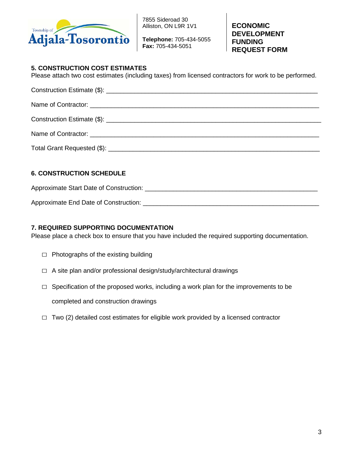

**Telephone:** 705-434-5055 **Fax:** 705-434-5051

**ECONOMIC DEVELOPMENT FUNDING REQUEST FORM**

## **5. CONSTRUCTION COST ESTIMATES**

Please attach two cost estimates (including taxes) from licensed contractors for work to be performed.

## **6. CONSTRUCTION SCHEDULE**

Approximate Start Date of Construction: \_\_\_\_\_\_\_\_\_\_\_\_\_\_\_\_\_\_\_\_\_\_\_\_\_\_\_\_\_\_\_\_\_\_\_\_\_\_\_\_\_\_\_\_\_\_\_\_\_

Approximate End Date of Construction: \_\_\_\_\_\_\_\_\_\_\_\_\_\_\_\_\_\_\_\_\_\_\_\_\_\_\_\_\_\_\_\_\_\_\_\_\_\_\_\_\_\_\_\_\_\_\_\_\_\_

## **7. REQUIRED SUPPORTING DOCUMENTATION**

Please place a check box to ensure that you have included the required supporting documentation.

- $\Box$  Photographs of the existing building
- $\Box$  A site plan and/or professional design/study/architectural drawings
- $\Box$  Specification of the proposed works, including a work plan for the improvements to be

completed and construction drawings

 $\Box$  Two (2) detailed cost estimates for eligible work provided by a licensed contractor